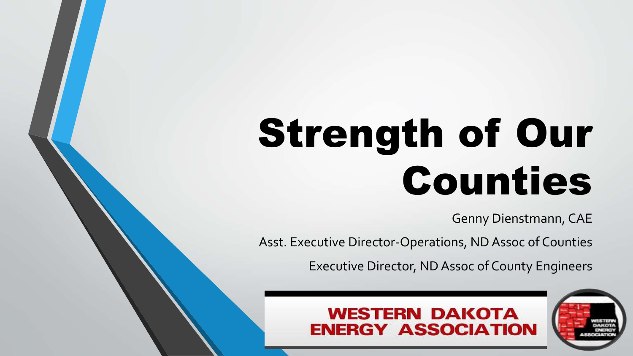# Strength of Our Counties

Genny Dienstmann, CAE

Asst. Executive Director-Operations, ND Assoc of Counties

Executive Director, ND Assoc of County Engineers

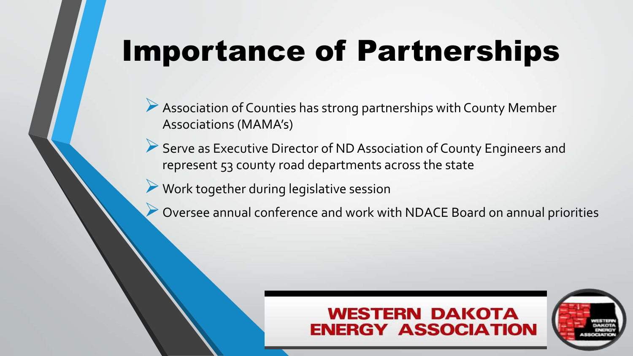# Importance of Partnerships

- Association of Counties has strong partnerships with County Member Associations (MAMA's)
- Serve as Executive Director of ND Association of County Engineers and represent 53 county road departments across the state
- Work together during legislative session
	- Oversee annual conference and work with NDACE Board on annual priorities

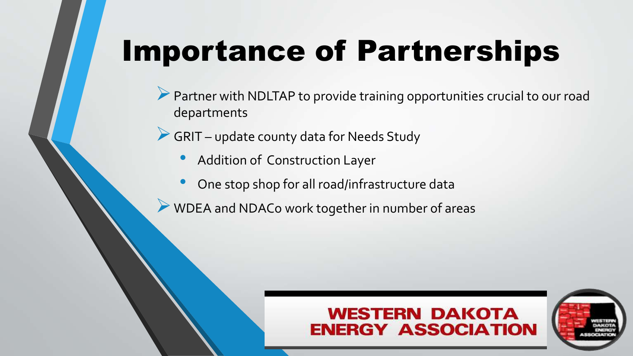# Importance of Partnerships

- Partner with NDLTAP to provide training opportunities crucial to our road departments
- GRIT update county data for Needs Study
	- Addition of Construction Layer
	- One stop shop for all road/infrastructure data
- WDEA and NDACo work together in number of areas

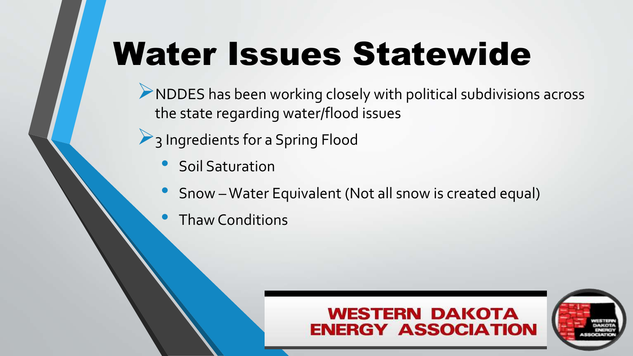# Water Issues Statewide

NDDES has been working closely with political subdivisions across the state regarding water/flood issues

- <sup>2</sup> 3 Ingredients for a Spring Flood
	- Soil Saturation
	- Snow Water Equivalent (Not all snow is created equal)
	- Thaw Conditions



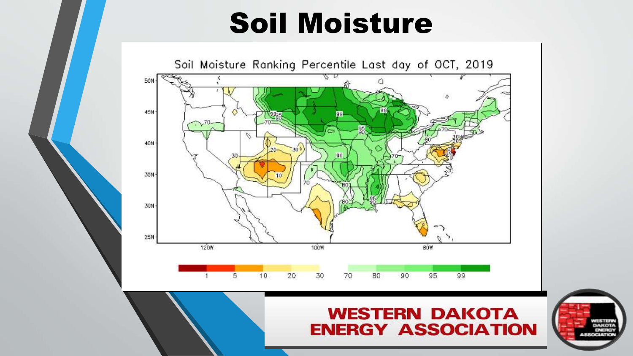## Soil Moisture



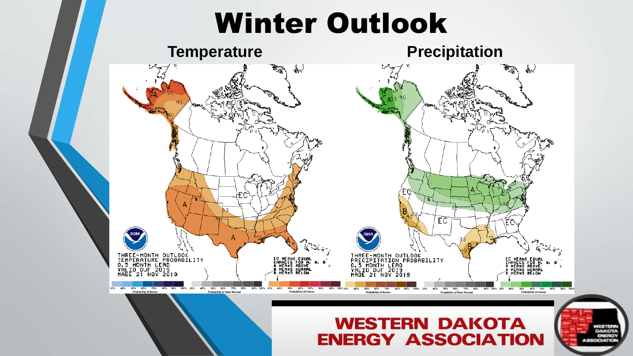### Winter Outlook





#### **WESTERN DAKOTA ENERGY ASSOCIATION**

WESTER **DAKOTA** 

**ENERGY ASSOCIATION**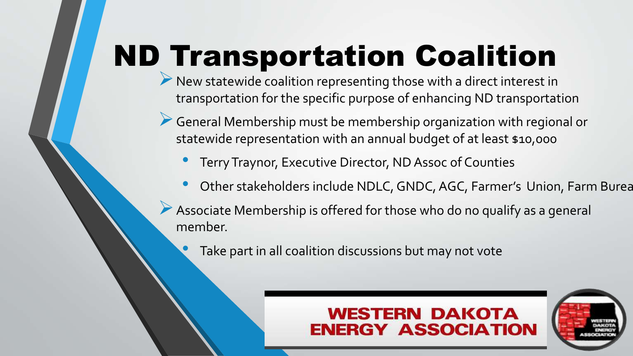# ND Transportation Coalition

- New statewide coalition representing those with a direct interest in transportation for the specific purpose of enhancing ND transportation
- General Membership must be membership organization with regional or statewide representation with an annual budget of at least \$10,000
	- Terry Traynor, Executive Director, ND Assoc of Counties
	- Other stakeholders include NDLC, GNDC, AGC, Farmer's Union, Farm Burea
- Associate Membership is offered for those who do no qualify as a general member.
	- Take part in all coalition discussions but may not vote

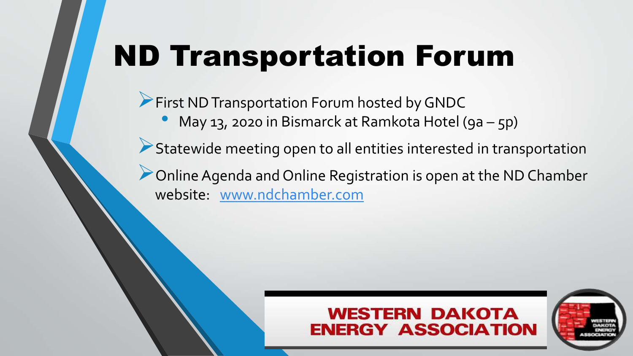# ND Transportation Forum

**First ND Transportation Forum hosted by GNDC** 

• May 13, 2020 in Bismarck at Ramkota Hotel (9a – 5p)

Statewide meeting open to all entities interested in transportation

Online Agenda and Online Registration is open at the ND Chamber website: [www.ndchamber.com](http://www.ndchamger.com/)